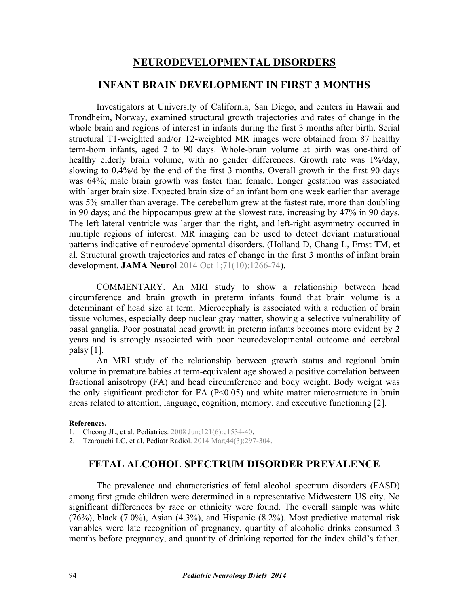## **NEURODEVELOPMENTAL DISORDERS**

# **INFANT BRAIN DEVELOPMENT IN FIRST 3 MONTHS**

Investigators at University of California, San Diego, and centers in Hawaii and Trondheim, Norway, examined structural growth trajectories and rates of change in the whole brain and regions of interest in infants during the first 3 months after birth. Serial structural T1-weighted and/or T2-weighted MR images were obtained from 87 healthy term-born infants, aged 2 to 90 days. Whole-brain volume at birth was one-third of healthy elderly brain volume, with no gender differences. Growth rate was 1%/day, slowing to 0.4%/d by the end of the first 3 months. Overall growth in the first 90 days was 64%; male brain growth was faster than female. Longer gestation was associated with larger brain size. Expected brain size of an infant born one week earlier than average was 5% smaller than average. The cerebellum grew at the fastest rate, more than doubling in 90 days; and the hippocampus grew at the slowest rate, increasing by 47% in 90 days. The left lateral ventricle was larger than the right, and left-right asymmetry occurred in multiple regions of interest. MR imaging can be used to detect deviant maturational [patterns indicative of neurodevelopmental disorders. \(Holland D, Chang L, Ernst TM, et](http://dx.doi.org/10.1001/jamaneurol.2014.1638) al. Structural growth trajectories and rates of change in the first 3 months of infant brain development. **JAMA Neurol** 2014 Oct 1;71(10):1266-74).

 COMMENTARY. An MRI study to show a relationship between head circumference and brain growth in preterm infants found that brain volume is a determinant of head size at term. Microcephaly is associated with a reduction of brain tissue volumes, especially deep nuclear gray matter, showing a selective vulnerability of basal ganglia. Poor postnatal head growth in preterm infants becomes more evident by 2 years and is strongly associated with poor neurodevelopmental outcome and cerebral palsy  $[1]$ .

An MRI study of the relationship between growth status and regional brain volume in premature babies at term-equivalent age showed a positive correlation between fractional anisotropy (FA) and head circumference and body weight. Body weight was the only significant predictor for FA (P<0.05) and white matter microstructure in brain areas related to attention, language, cognition, memory, and executive functioning [2].

#### **References.**

1. [Cheong JL, et al. Pediatrics. 2008 Jun;121\(6\):e1534-40](http://dx.doi.org/10.1542/peds.2007-2671).

2. [Tzarouchi LC, et al. Pediatr Radiol. 2014 Mar;44\(3\):297-304](http://dx.doi.org/10.1007/s00247-013-2822-y).

## **FETAL ALCOHOL SPECTRUM DISORDER PREVALENCE**

The prevalence and characteristics of fetal alcohol spectrum disorders (FASD) among first grade children were determined in a representative Midwestern US city. No significant differences by race or ethnicity were found. The overall sample was white (76%), black (7.0%), Asian (4.3%), and Hispanic (8.2%). Most predictive maternal risk variables were late recognition of pregnancy, quantity of alcoholic drinks consumed 3 months before pregnancy, and quantity of drinking reported for the index child's father.